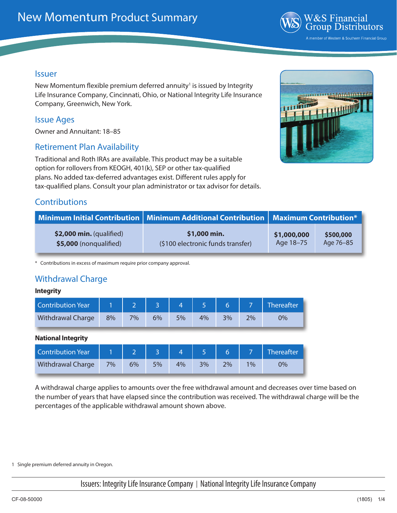

#### Issuer

New Momentum flexible premium deferred annuity<sup>1</sup> is issued by Integrity Life Insurance Company, Cincinnati, Ohio, or National Integrity Life Insurance Company, Greenwich, New York.

#### Issue Ages

Owner and Annuitant: 18–85

#### Retirement Plan Availability

Traditional and Roth IRAs are available. This product may be a suitable option for rollovers from KEOGH, 401(k), SEP or other tax-qualified plans. No added tax-deferred advantages exist. Different rules apply for tax-qualified plans. Consult your plan administrator or tax advisor for details.



# **Contributions**

|                           | <b>Minimum Initial Contribution   Minimum Additional Contribution   Maximum Contribution*</b> |             |           |  |
|---------------------------|-----------------------------------------------------------------------------------------------|-------------|-----------|--|
| $$2,000$ min. (qualified) | \$1,000 min.                                                                                  | \$1,000,000 | \$500,000 |  |
| \$5,000 (nonqualified)    | (\$100 electronic funds transfer)                                                             | Age 18-75   | Age 76-85 |  |

\* Contributions in excess of maximum require prior company approval.

## Withdrawal Charge

#### **Integrity**

| Contribution Year        |    |    |    |    |    |    |    | Thereafter |
|--------------------------|----|----|----|----|----|----|----|------------|
| <b>Withdrawal Charge</b> | 8% | 7% | 6% | 5% | 4% | 3% | 2% | 0%         |

#### **National Integrity**

| <b>Contribution Year</b> |    |    |    |    |    |    |       | Thereafter |
|--------------------------|----|----|----|----|----|----|-------|------------|
| <b>Withdrawal Charge</b> | 7% | 6% | 5% | 4% | 3% | 2% | $1\%$ | 0%         |

A withdrawal charge applies to amounts over the free withdrawal amount and decreases over time based on the number of years that have elapsed since the contribution was received. The withdrawal charge will be the percentages of the applicable withdrawal amount shown above.

1 Single premium deferred annuity in Oregon.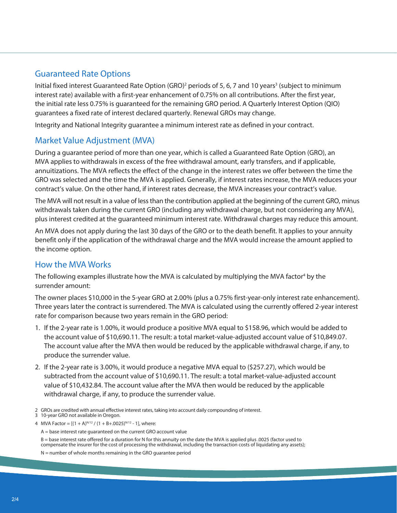### Guaranteed Rate Options

Initial fixed interest Guaranteed Rate Option (GRO)<sup>2</sup> periods of 5, 6, 7 and 10 years<sup>3</sup> (subject to minimum interest rate) available with a first-year enhancement of 0.75% on all contributions. After the first year, the initial rate less 0.75% is guaranteed for the remaining GRO period. A Quarterly Interest Option (QIO) guarantees a fixed rate of interest declared quarterly. Renewal GROs may change.

Integrity and National Integrity guarantee a minimum interest rate as defined in your contract.

#### Market Value Adjustment (MVA)

During a guarantee period of more than one year, which is called a Guaranteed Rate Option (GRO), an MVA applies to withdrawals in excess of the free withdrawal amount, early transfers, and if applicable, annuitizations. The MVA reflects the effect of the change in the interest rates we offer between the time the GRO was selected and the time the MVA is applied. Generally, if interest rates increase, the MVA reduces your contract's value. On the other hand, if interest rates decrease, the MVA increases your contract's value.

The MVA will not result in a value of less than the contribution applied at the beginning of the current GRO, minus withdrawals taken during the current GRO (including any withdrawal charge, but not considering any MVA), plus interest credited at the guaranteed minimum interest rate. Withdrawal charges may reduce this amount.

An MVA does not apply during the last 30 days of the GRO or to the death benefit. It applies to your annuity benefit only if the application of the withdrawal charge and the MVA would increase the amount applied to the income option.

#### How the MVA Works

The following examples illustrate how the MVA is calculated by multiplying the MVA factor<sup>4</sup> by the surrender amount:

The owner places \$10,000 in the 5-year GRO at 2.00% (plus a 0.75% first-year-only interest rate enhancement). Three years later the contract is surrendered. The MVA is calculated using the currently offered 2-year interest rate for comparison because two years remain in the GRO period:

- 1. If the 2-year rate is 1.00%, it would produce a positive MVA equal to \$158.96, which would be added to the account value of \$10,690.11. The result: a total market-value-adjusted account value of \$10,849.07. The account value after the MVA then would be reduced by the applicable withdrawal charge, if any, to produce the surrender value.
- 2. If the 2-year rate is 3.00%, it would produce a negative MVA equal to (\$257.27), which would be subtracted from the account value of \$10,690.11. The result: a total market-value-adjusted account value of \$10,432.84. The account value after the MVA then would be reduced by the applicable withdrawal charge, if any, to produce the surrender value.
- 2 GROs are credited with annual effective interest rates, taking into account daily compounding of interest.

3 10-year GRO not available in Oregon.

B = base interest rate offered for a duration for N for this annuity on the date the MVA is applied plus .0025 (factor used to compensate the insurer for the cost of processing the withdrawal, including the transaction costs of liquidating any assets);

<sup>4</sup> MVA Factor =  $[(1 + A)^{N/12} / (1 + B+.0025)^{N/12} - 1]$ , where:

A = base interest rate guaranteed on the current GRO account value

N = number of whole months remaining in the GRO guarantee period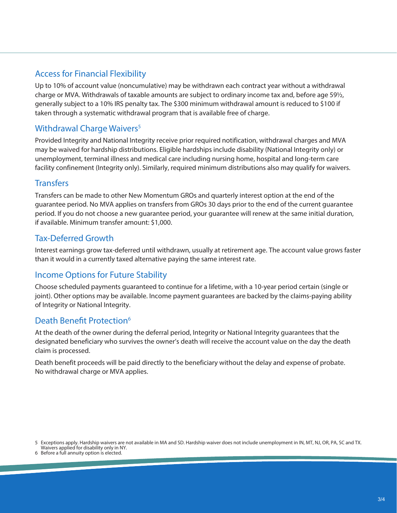## Access for Financial Flexibility

Up to 10% of account value (noncumulative) may be withdrawn each contract year without a withdrawal charge or MVA. Withdrawals of taxable amounts are subject to ordinary income tax and, before age 59½, generally subject to a 10% IRS penalty tax. The \$300 minimum withdrawal amount is reduced to \$100 if taken through a systematic withdrawal program that is available free of charge.

#### Withdrawal Charge Waivers<sup>5</sup>

Provided Integrity and National Integrity receive prior required notification, withdrawal charges and MVA may be waived for hardship distributions. Eligible hardships include disability (National Integrity only) or unemployment, terminal illness and medical care including nursing home, hospital and long-term care facility confinement (Integrity only). Similarly, required minimum distributions also may qualify for waivers.

#### **Transfers**

Transfers can be made to other New Momentum GROs and quarterly interest option at the end of the guarantee period. No MVA applies on transfers from GROs 30 days prior to the end of the current guarantee period. If you do not choose a new guarantee period, your guarantee will renew at the same initial duration, if available. Minimum transfer amount: \$1,000.

### Tax-Deferred Growth

Interest earnings grow tax-deferred until withdrawn, usually at retirement age. The account value grows faster than it would in a currently taxed alternative paying the same interest rate.

#### Income Options for Future Stability

Choose scheduled payments guaranteed to continue for a lifetime, with a 10-year period certain (single or joint). Other options may be available. Income payment guarantees are backed by the claims-paying ability of Integrity or National Integrity.

#### Death Benefit Protection<sup>6</sup>

At the death of the owner during the deferral period, Integrity or National Integrity guarantees that the designated beneficiary who survives the owner's death will receive the account value on the day the death claim is processed.

Death benefit proceeds will be paid directly to the beneficiary without the delay and expense of probate. No withdrawal charge or MVA applies.

<sup>5</sup> Exceptions apply. Hardship waivers are not available in MA and SD. Hardship waiver does not include unemployment in IN, MT, NJ, OR, PA, SC and TX. Waivers applied for disability only in NY.

<sup>6</sup> Before a full annuity option is elected.